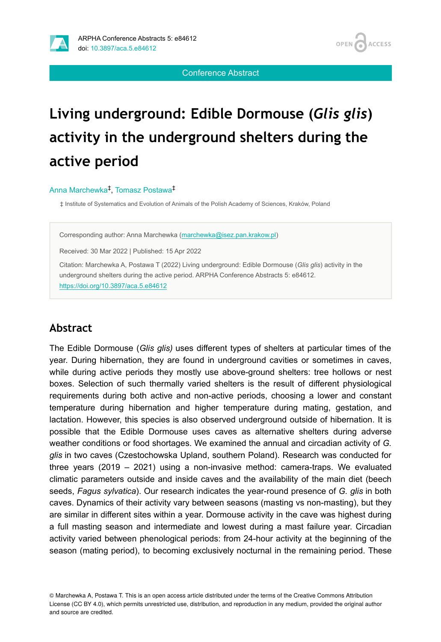

**ACCESS OPEN** 

Conference Abstract

# **Living underground: Edible Dormouse (***Glis glis***) activity in the underground shelters during the active period**

#### Anna Marchewka<sup>‡</sup>, Tomasz Postawa<sup>‡</sup>

‡ Institute of Systematics and Evolution of Animals of the Polish Academy of Sciences, Kraków, Poland

Corresponding author: Anna Marchewka ([marchewka@isez.pan.krakow.pl\)](mailto:marchewka@isez.pan.krakow.pl)

Received: 30 Mar 2022 | Published: 15 Apr 2022

Citation: Marchewka A, Postawa T (2022) Living underground: Edible Dormouse (*Glis glis*) activity in the underground shelters during the active period. ARPHA Conference Abstracts 5: e84612. <https://doi.org/10.3897/aca.5.e84612>

#### **Abstract**

The Edible Dormouse (*Glis glis)* uses different types of shelters at particular times of the year. During hibernation, they are found in underground cavities or sometimes in caves, while during active periods they mostly use above-ground shelters: tree hollows or nest boxes. Selection of such thermally varied shelters is the result of different physiological requirements during both active and non-active periods, choosing a lower and constant temperature during hibernation and higher temperature during mating, gestation, and lactation. However, this species is also observed underground outside of hibernation. It is possible that the Edible Dormouse uses caves as alternative shelters during adverse weather conditions or food shortages. We examined the annual and circadian activity of *G. glis* in two caves (Czestochowska Upland, southern Poland). Research was conducted for three years (2019 – 2021) using a non-invasive method: camera-traps. We evaluated climatic parameters outside and inside caves and the availability of the main diet (beech seeds, *Fagus sylvatica*). Our research indicates the year-round presence of *G. glis* in both caves. Dynamics of their activity vary between seasons (masting vs non-masting), but they are similar in different sites within a year. Dormouse activity in the cave was highest during a full masting season and intermediate and lowest during a mast failure year. Circadian activity varied between phenological periods: from 24-hour activity at the beginning of the season (mating period), to becoming exclusively nocturnal in the remaining period. These

© Marchewka A, Postawa T. This is an open access article distributed under the terms of the Creative Commons Attribution License (CC BY 4.0), which permits unrestricted use, distribution, and reproduction in any medium, provided the original author and source are credited.